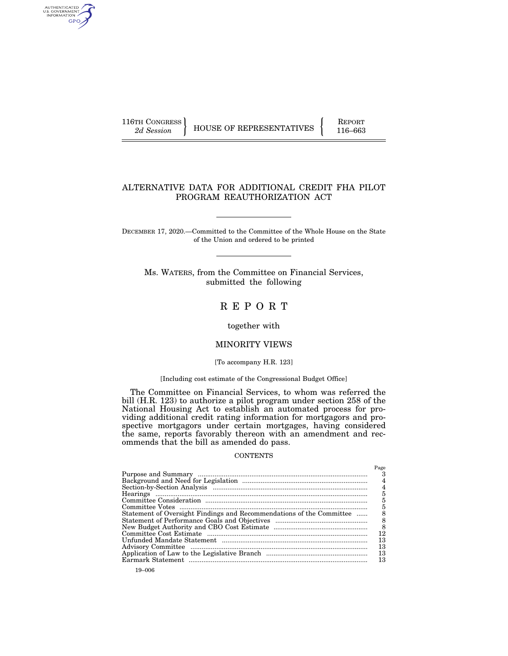AUTHENTICATED<br>U.S. GOVERNMENT<br>INFORMATION GPO

116TH CONGRESS HOUSE OF REPRESENTATIVES FEPORT 116–663

# ALTERNATIVE DATA FOR ADDITIONAL CREDIT FHA PILOT PROGRAM REAUTHORIZATION ACT

DECEMBER 17, 2020.—Committed to the Committee of the Whole House on the State of the Union and ordered to be printed

Ms. WATERS, from the Committee on Financial Services, submitted the following

# R E P O R T

together with

# MINORITY VIEWS

[To accompany H.R. 123]

## [Including cost estimate of the Congressional Budget Office]

The Committee on Financial Services, to whom was referred the bill (H.R. 123) to authorize a pilot program under section 258 of the National Housing Act to establish an automated process for providing additional credit rating information for mortgagors and prospective mortgagors under certain mortgages, having considered the same, reports favorably thereon with an amendment and recommends that the bill as amended do pass.

# **CONTENTS**

|                                                                      | Page |
|----------------------------------------------------------------------|------|
|                                                                      |      |
|                                                                      |      |
|                                                                      |      |
|                                                                      |      |
|                                                                      |      |
|                                                                      |      |
| Statement of Oversight Findings and Recommendations of the Committee |      |
|                                                                      |      |
|                                                                      | - 8  |
|                                                                      | 12   |
|                                                                      | 13   |
|                                                                      | 13   |
|                                                                      | 13   |
|                                                                      | 13   |
|                                                                      |      |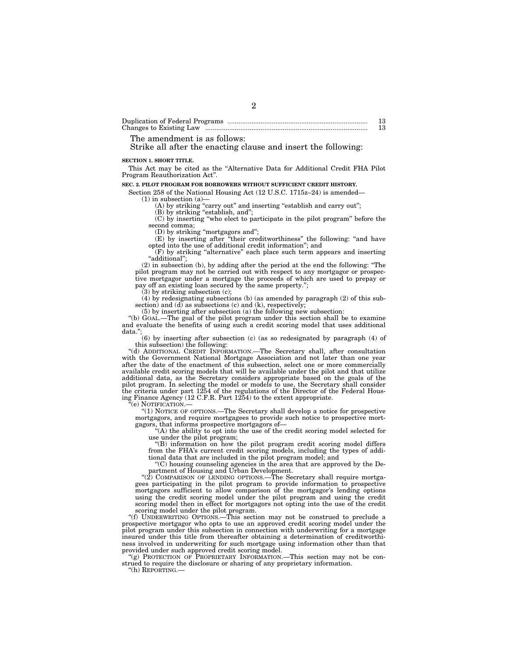Duplication of Federal Programs ............................................................................ 13 Changes to Existing Law ........................................................................................ 13

The amendment is as follows:

Strike all after the enacting clause and insert the following:

**SECTION 1. SHORT TITLE.** 

This Act may be cited as the ''Alternative Data for Additional Credit FHA Pilot Program Reauthorization Act''.

2

#### **SEC. 2. PILOT PROGRAM FOR BORROWERS WITHOUT SUFFICIENT CREDIT HISTORY.**

Section 258 of the National Housing Act (12 U.S.C. 1715z–24) is amended— (1) in subsection (a)—

(A) by striking "carry out" and inserting "establish and carry out";

(B) by striking "establish, and"; (C) by inserting ''who elect to participate in the pilot program'' before the second comma;

(D) by striking ''mortgagors and'';

(E) by inserting after ''their creditworthiness'' the following: ''and have opted into the use of additional credit information''; and

(F) by striking ''alternative'' each place such term appears and inserting ''additional'';

(2) in subsection (b), by adding after the period at the end the following: ''The pilot program may not be carried out with respect to any mortgagor or prospective mortgagor under a mortgage the proceeds of which are used to prepay or pay off an existing loan secured by the same property.'';

(3) by striking subsection (c);

(4) by redesignating subsections (b) (as amended by paragraph (2) of this subsection) and (d) as subsections (c) and (k), respectively;

(5) by inserting after subsection (a) the following new subsection:

''(b) GOAL.—The goal of the pilot program under this section shall be to examine and evaluate the benefits of using such a credit scoring model that uses additional data.'

(6) by inserting after subsection (c) (as so redesignated by paragraph (4) of this subsection) the following:

''(d) ADDITIONAL CREDIT INFORMATION.—The Secretary shall, after consultation with the Government National Mortgage Association and not later than one year after the date of the enactment of this subsection, select one or more commercially available credit scoring models that will be available under the pilot and that utilize additional data, as the Secretary considers appropriate based on the goals of the pilot program. In selecting the model or models to use, the Secretary shall consider the criteria under part 1254 of the regulations of the Director of the Federal Housing Finance Agency (12 C.F.R. Part 1254) to the extent appropriate.

"(e) NOTIFICATION.-

''(1) NOTICE OF OPTIONS.—The Secretary shall develop a notice for prospective mortgagors, and require mortgagees to provide such notice to prospective mortgagors, that informs prospective mortgagors of—

''(A) the ability to opt into the use of the credit scoring model selected for use under the pilot program;

''(B) information on how the pilot program credit scoring model differs from the FHA's current credit scoring models, including the types of additional data that are included in the pilot program model; and

''(C) housing counseling agencies in the area that are approved by the Department of Housing and Urban Development.

''(2) COMPARISON OF LENDING OPTIONS.—The Secretary shall require mortgagees participating in the pilot program to provide information to prospective mortgagors sufficient to allow comparison of the mortgagor's lending options using the credit scoring model under the pilot program and using the credit scoring model then in effect for mortgagors not opting into the use of the credit scoring model under the pilot program.

''(f) UNDERWRITING OPTIONS.—This section may not be construed to preclude a prospective mortgagor who opts to use an approved credit scoring model under the pilot program under this subsection in connection with underwriting for a mortgage insured under this title from thereafter obtaining a determination of creditworthiness involved in underwriting for such mortgage using information other than that provided under such approved credit scoring model.

''(g) PROTECTION OF PROPRIETARY INFORMATION.—This section may not be construed to require the disclosure or sharing of any proprietary information.

''(h) REPORTING.—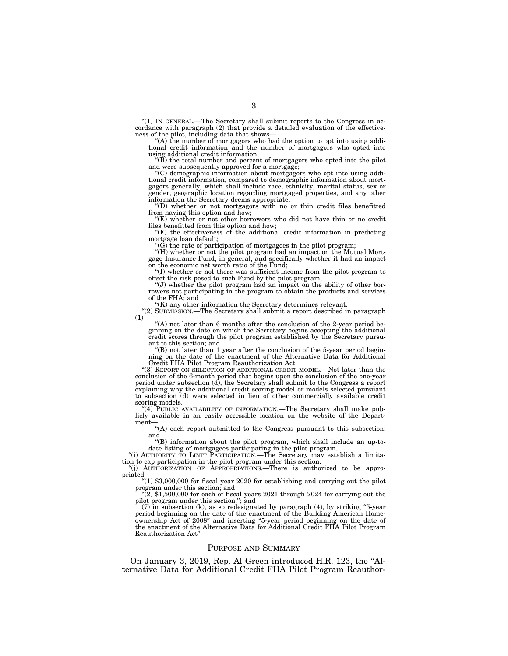''(1) IN GENERAL.—The Secretary shall submit reports to the Congress in accordance with paragraph (2) that provide a detailed evaluation of the effectiveness of the pilot, including data that shows—

''(A) the number of mortgagors who had the option to opt into using additional credit information and the number of mortgagors who opted into using additional credit information;

''(B) the total number and percent of mortgagors who opted into the pilot and were subsequently approved for a mortgage;

''(C) demographic information about mortgagors who opt into using additional credit information, compared to demographic information about mortgagors generally, which shall include race, ethnicity, marital status, sex or gender, geographic location regarding mortgaged properties, and any other information the Secretary deems appropriate;

''(D) whether or not mortgagors with no or thin credit files benefitted from having this option and how;

''(E) whether or not other borrowers who did not have thin or no credit files benefitted from this option and how;

''(F) the effectiveness of the additional credit information in predicting mortgage loan default;

''(G) the rate of participation of mortgagees in the pilot program; ''(H) whether or not the pilot program had an impact on the Mutual Mortgage Insurance Fund, in general, and specifically whether it had an impact on the economic net worth ratio of the Fund;

''(I) whether or not there was sufficient income from the pilot program to offset the risk posed to such Fund by the pilot program;

''(J) whether the pilot program had an impact on the ability of other borrowers not participating in the program to obtain the products and services of the FHA; and

''(K) any other information the Secretary determines relevant.

''(2) SUBMISSION.—The Secretary shall submit a report described in paragraph  $(1)$ 

"(A) not later than 6 months after the conclusion of the 2-year period beginning on the date on which the Secretary begins accepting the additional credit scores through the pilot program established by the Secretary pursuant to this section; and

 $f(B)$  not later than 1 year after the conclusion of the 5-year period beginning on the date of the enactment of the Alternative Data for Additional Credit FHA Pilot Program Reauthorization Act.

''(3) REPORT ON SELECTION OF ADDITIONAL CREDIT MODEL.—Not later than the conclusion of the 6-month period that begins upon the conclusion of the one-year period under subsection (d), the Secretary shall submit to the Congress a report explaining why the additional credit scoring model or models selected pursuant to subsection (d) were selected in lieu of other commercially available credit scoring models.

"(4) PUBLIC AVAILABILITY OF INFORMATION.—The Secretary shall make publicly available in an easily accessible location on the website of the Department

''(A) each report submitted to the Congress pursuant to this subsection; and

''(B) information about the pilot program, which shall include an up-to-date listing of mortgagees participating in the pilot program.

''(i) AUTHORITY TO LIMIT PARTICIPATION.—The Secretary may establish a limitation to cap participation in the pilot program under this section.

''(j) AUTHORIZATION OF APPROPRIATIONS.—There is authorized to be appro-

" $(1)$  \$3,000,000 for fiscal year 2020 for establishing and carrying out the pilot program under this section; and<br>
"(2) \$1,500,000 for each of fiscal years 2021 through 2024 for carrying out the

pilot program under this section.''; and

 $(7)$  in subsection (k), as so redesignated by paragraph (4), by striking "5-year period beginning on the date of the enactment of the Building American Homeownership Act of 2008'' and inserting ''5-year period beginning on the date of the enactment of the Alternative Data for Additional Credit FHA Pilot Program Reauthorization Act''.

#### PURPOSE AND SUMMARY

On January 3, 2019, Rep. Al Green introduced H.R. 123, the ''Alternative Data for Additional Credit FHA Pilot Program Reauthor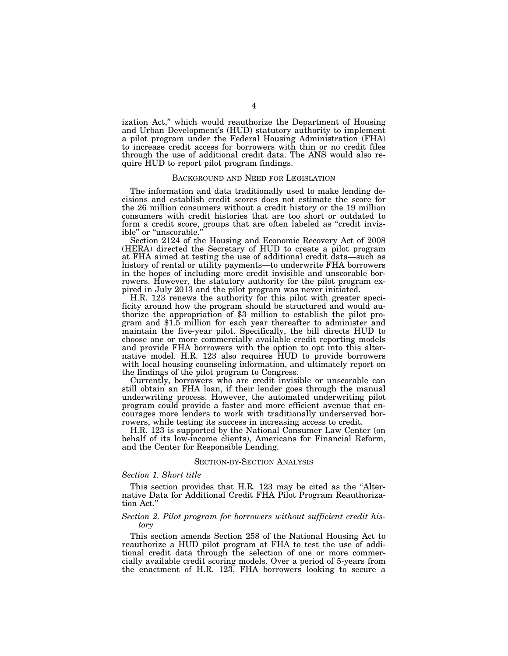ization Act,'' which would reauthorize the Department of Housing and Urban Development's (HUD) statutory authority to implement a pilot program under the Federal Housing Administration (FHA) to increase credit access for borrowers with thin or no credit files through the use of additional credit data. The ANS would also require HUD to report pilot program findings.

# BACKGROUND AND NEED FOR LEGISLATION

The information and data traditionally used to make lending decisions and establish credit scores does not estimate the score for the 26 million consumers without a credit history or the 19 million consumers with credit histories that are too short or outdated to form a credit score, groups that are often labeled as ''credit invisible" or "unscorable.

Section 2124 of the Housing and Economic Recovery Act of 2008 (HERA) directed the Secretary of HUD to create a pilot program at FHA aimed at testing the use of additional credit data—such as history of rental or utility payments—to underwrite FHA borrowers in the hopes of including more credit invisible and unscorable borrowers. However, the statutory authority for the pilot program expired in July 2013 and the pilot program was never initiated.

H.R. 123 renews the authority for this pilot with greater specificity around how the program should be structured and would authorize the appropriation of \$3 million to establish the pilot program and \$1.5 million for each year thereafter to administer and maintain the five-year pilot. Specifically, the bill directs HUD to choose one or more commercially available credit reporting models and provide FHA borrowers with the option to opt into this alternative model. H.R. 123 also requires HUD to provide borrowers with local housing counseling information, and ultimately report on the findings of the pilot program to Congress.

Currently, borrowers who are credit invisible or unscorable can still obtain an FHA loan, if their lender goes through the manual underwriting process. However, the automated underwriting pilot program could provide a faster and more efficient avenue that encourages more lenders to work with traditionally underserved borrowers, while testing its success in increasing access to credit.

H.R. 123 is supported by the National Consumer Law Center (on behalf of its low-income clients), Americans for Financial Reform, and the Center for Responsible Lending.

#### SECTION-BY-SECTION ANALYSIS

### *Section 1. Short title*

This section provides that H.R. 123 may be cited as the "Alternative Data for Additional Credit FHA Pilot Program Reauthorization Act.''

## *Section 2. Pilot program for borrowers without sufficient credit history*

This section amends Section 258 of the National Housing Act to reauthorize a HUD pilot program at FHA to test the use of additional credit data through the selection of one or more commercially available credit scoring models. Over a period of 5-years from the enactment of H.R. 123, FHA borrowers looking to secure a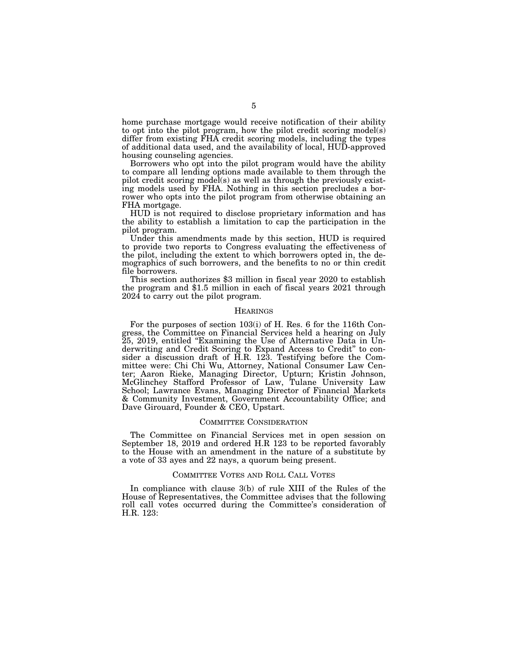home purchase mortgage would receive notification of their ability to opt into the pilot program, how the pilot credit scoring model(s) differ from existing FHA credit scoring models, including the types of additional data used, and the availability of local, HUD-approved housing counseling agencies.

Borrowers who opt into the pilot program would have the ability to compare all lending options made available to them through the pilot credit scoring model(s) as well as through the previously existing models used by FHA. Nothing in this section precludes a borrower who opts into the pilot program from otherwise obtaining an FHA mortgage.

HUD is not required to disclose proprietary information and has the ability to establish a limitation to cap the participation in the pilot program.

Under this amendments made by this section, HUD is required to provide two reports to Congress evaluating the effectiveness of the pilot, including the extent to which borrowers opted in, the demographics of such borrowers, and the benefits to no or thin credit file borrowers.

This section authorizes \$3 million in fiscal year 2020 to establish the program and \$1.5 million in each of fiscal years 2021 through 2024 to carry out the pilot program.

### **HEARINGS**

For the purposes of section 103(i) of H. Res. 6 for the 116th Congress, the Committee on Financial Services held a hearing on July 25, 2019, entitled ''Examining the Use of Alternative Data in Underwriting and Credit Scoring to Expand Access to Credit'' to consider a discussion draft of H.R. 123. Testifying before the Committee were: Chi Chi Wu, Attorney, National Consumer Law Center; Aaron Rieke, Managing Director, Upturn; Kristin Johnson, McGlinchey Stafford Professor of Law, Tulane University Law School; Lawrance Evans, Managing Director of Financial Markets & Community Investment, Government Accountability Office; and Dave Girouard, Founder & CEO, Upstart.

### COMMITTEE CONSIDERATION

The Committee on Financial Services met in open session on September 18, 2019 and ordered H.R 123 to be reported favorably to the House with an amendment in the nature of a substitute by a vote of 33 ayes and 22 nays, a quorum being present.

#### COMMITTEE VOTES AND ROLL CALL VOTES

In compliance with clause 3(b) of rule XIII of the Rules of the House of Representatives, the Committee advises that the following roll call votes occurred during the Committee's consideration of H.R. 123: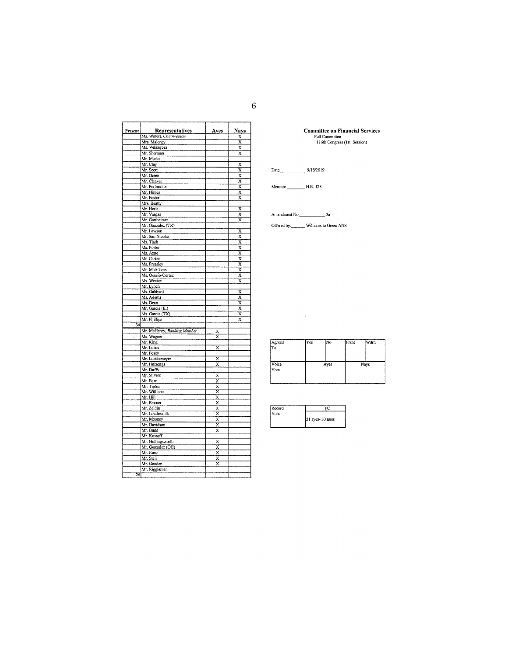| Present         | Representatives             | Ayes                    | Nays                    |
|-----------------|-----------------------------|-------------------------|-------------------------|
|                 | Ms. Waters, Chairwoman      |                         | X                       |
|                 | Mrs. Maloney                |                         | x                       |
|                 | Ms. Velázquez               |                         | $\overline{\mathbf{x}}$ |
|                 | Mr. Sherman                 |                         | $\overline{\mathrm{x}}$ |
|                 | Mr. Meeks                   |                         |                         |
|                 | Mr. Clay                    |                         | $\overline{\mathbf{x}}$ |
|                 | Mr. Scott                   |                         | $\overline{\mathbf{x}}$ |
|                 | Mr. Green                   |                         | $\overline{\mathbf{x}}$ |
|                 | Mr. Cleaver                 |                         | x                       |
|                 | Mr. Perimutter              |                         | $\bar{\text{x}}$        |
|                 | Mr. Himes                   |                         | $\bar{\text{x}}$        |
|                 | Mr. Foster                  |                         | $\overline{\mathbf{x}}$ |
|                 | Mrs. Beatty                 |                         |                         |
|                 | Mr. Heck                    |                         | x                       |
|                 | Mr. Vargas                  |                         | X                       |
|                 | Mr. Gottheimer              |                         | X                       |
|                 | Mr. Gonzalez (TX)           |                         |                         |
|                 | Mr. Lawson                  |                         | X                       |
|                 | Mr. San Nicolas             |                         | $\overline{\mathbf{x}}$ |
|                 | Ms. Tlaib                   |                         | $\overline{\mathbf{x}}$ |
|                 | Ms. Porter                  |                         | X                       |
|                 | Ms. Axne                    |                         | $\overline{\mathbf{x}}$ |
|                 | Mr. Casten                  |                         | X                       |
|                 | Ms. Pressley                |                         | X                       |
|                 | Mr. McAdams                 |                         | $\overline{\mathbf{x}}$ |
|                 | Ms. Ocasio-Cortez           |                         | X                       |
|                 | Ms. Wexton                  |                         | $\overline{\mathbf{x}}$ |
|                 | Mr. Lynch                   |                         |                         |
|                 | Ms. Gabbard                 |                         | x                       |
|                 | Ms. Adams                   |                         | X                       |
|                 | Ms. Dean                    |                         | $\overline{\mathbf{x}}$ |
|                 | Mr. Garcia (IL)             |                         | $\overline{\mathbf{x}}$ |
|                 | Ms. Garcia (TX)             |                         | $\overline{\mathbf{x}}$ |
|                 | Mr. Phillips                |                         | x                       |
| 34              |                             |                         |                         |
|                 | Mr. McHenry, Ranking Member |                         |                         |
|                 |                             | x                       |                         |
|                 | Ms. Wagner                  | Ⴟ                       |                         |
|                 | Mr. King                    |                         |                         |
|                 | Mr. Lucas                   | X                       |                         |
|                 | Mr. Posey                   |                         |                         |
|                 | Mr. Luetkemeyer             | x                       |                         |
|                 | Mr. Huizenga                | $\overline{\mathbf{x}}$ |                         |
|                 | Mr. Duffy                   |                         |                         |
|                 | Mr. Stivers                 | X                       |                         |
|                 | Mr. Barr                    | X                       |                         |
|                 | Mr. Tipton                  | X                       |                         |
|                 | Mr. Williams                | X                       |                         |
|                 | Mr. Hill                    | x                       |                         |
|                 | Mr. Emmer                   | X                       |                         |
|                 | Mr. Zeldin                  | X                       |                         |
|                 | Mr. Loudermilk              | X                       |                         |
|                 | Mr. Mooney                  | X                       |                         |
|                 | Mr. Davidson                | X                       |                         |
|                 | Mr. Budd                    | X                       |                         |
|                 | Mr. Kustoff                 |                         |                         |
|                 | Mr. Hollingsworth           | $\overline{\mathbf{x}}$ |                         |
|                 | Mr. Gonzalez (OH)           | X                       |                         |
|                 | Mr. Rose                    | $\overline{\text{x}}$   |                         |
|                 | Mr. Steil                   | X                       |                         |
|                 | Mr. Gooden                  | x                       |                         |
|                 | Mr. Riggleman               |                         |                         |
| $\overline{26}$ |                             |                         |                         |
|                 |                             |                         |                         |

|                       | <b>Committee on Financial Services</b> |
|-----------------------|----------------------------------------|
| <b>Full Committee</b> |                                        |
|                       |                                        |

116th Congress (1st Session)

# Date: 9/18/2019

Amendment No. 3a

Offered by: Williams to Green ANS

 $\sim 10^{-1}$ 

 $\fbox{$\displaystyle\bigwedge^{A \text{greed}}_{\text{To}}$}$ Wdrn Yes  $\overline{\text{No}}$ Prsnt  $\begin{array}{c}\n\hline\n\text{Voice} \\
\hline\n\text{Vote}\n\end{array}$ Nays Ayes

| Record |                 |
|--------|-----------------|
| Vote   |                 |
|        | 21 ayes-30 noes |
|        |                 |

6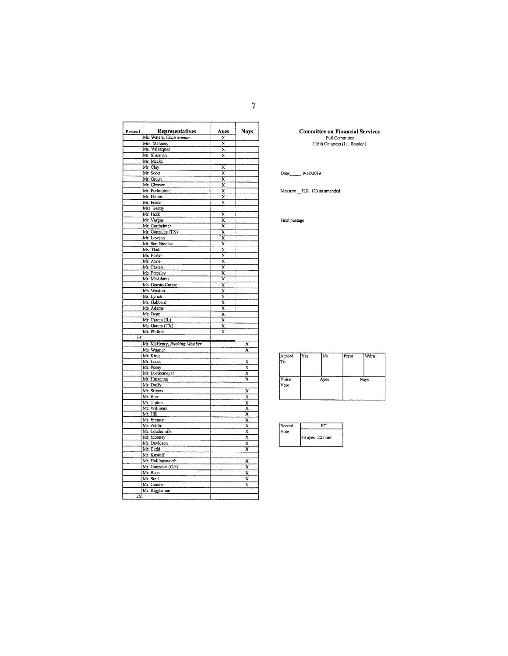| Present         | Representatives             | Ayes                    | <b>Nays</b>             |
|-----------------|-----------------------------|-------------------------|-------------------------|
|                 | Ms. Waters, Chairwoman      | X                       |                         |
|                 | Mrs. Maloney                | X                       |                         |
|                 | Ms. Velázquez               | $\overline{\mathbf{x}}$ |                         |
|                 | Mr. Sherman                 | $\overline{\mathbf{x}}$ |                         |
|                 | Mr. Meeks                   |                         |                         |
|                 | Mr. Clay                    | x                       |                         |
|                 | Mr. Scott                   | $\overline{\textbf{x}}$ |                         |
|                 | Mr. Green                   | X                       |                         |
|                 | Mr. Cleaver                 | x                       |                         |
|                 | Mr. Perimutter              | Ÿ                       |                         |
|                 | Mr. Himes                   | X                       |                         |
|                 | Mr. Foster                  | X                       |                         |
|                 | Mrs. Beatty                 |                         |                         |
|                 | Mr. Heck                    | X                       |                         |
|                 | Mr. Vargas                  | X                       |                         |
|                 | Mr. Gottheimer              | $\bar{\mathbf{x}}$      |                         |
|                 | Mr. Gonzalez (TX)           | X                       |                         |
|                 | Mr. Lawson                  | x                       |                         |
|                 | Mr. San Nicolas             | X                       |                         |
|                 | Ms. Tlaib                   | x                       |                         |
|                 | Ms. Porter                  | $\overline{\mathsf{x}}$ |                         |
|                 | Ms. Axne                    | X                       |                         |
|                 | Mr. Casten                  | $\overline{\mathbf{x}}$ |                         |
|                 | Ms. Pressley                | x                       |                         |
|                 | Mr. McAdams                 | x                       |                         |
|                 | Ms. Ocasio-Cortez           | $\overline{\mathbf{x}}$ |                         |
|                 | Ms. Wexton                  | X                       |                         |
|                 | Mr. Lynch                   | X                       |                         |
|                 | Ms. Gabbard                 | $\overline{\mathbf{x}}$ |                         |
|                 | Ms. Adams                   | $\overline{\mathbf{x}}$ |                         |
|                 | Ms. Dean                    | $\overline{\textbf{x}}$ |                         |
|                 | Mr. Garcia (IL)             | X                       |                         |
|                 | Ms. Garcia (TX)             | X                       |                         |
|                 | Mr. Phillips                | x                       |                         |
| $\overline{34}$ |                             |                         |                         |
|                 | Mr. McHenry, Ranking Member |                         | X                       |
|                 | Ms. Wagner                  |                         | $\overline{\mathbf{x}}$ |
|                 | Mr. King                    |                         |                         |
|                 | Mr. Lucas                   |                         | X                       |
|                 | Mr. Posey                   |                         | $\overline{\mathbf{x}}$ |
|                 | Mr. Luetkemeyer             |                         | X                       |
|                 | Mr. Huizenga                |                         | $\overline{\mathbf{x}}$ |
|                 | Mr. Duffy                   |                         |                         |
|                 | Mr. Stivers                 |                         | X                       |
|                 | Mr. Barr                    |                         | $\overline{x}$          |
|                 | Mr. Tipton                  |                         | $\overline{\mathbf{x}}$ |
|                 | Mr. Williams                |                         | $\overline{\mathbf{x}}$ |
|                 | Mr. Hill                    |                         | $\bar{\mathrm{x}}$      |
|                 | Mr. Emmer                   |                         | $\overline{\mathbf{x}}$ |
|                 | Mr. Zeldin                  |                         | $\overline{\mathbf{x}}$ |
|                 | Mr. Loudermilk              |                         | X                       |
|                 | Mr. Mooney                  |                         | $\overline{\mathbf{x}}$ |
|                 | Mr. Davidson                |                         | $\overline{\mathbf{x}}$ |
|                 | Mr. Budd                    |                         | X                       |
|                 | Mr. Kustoff                 |                         |                         |
|                 | Mr. Hollingsworth           |                         | X                       |
|                 | Mr. Gonzalez (OH)           |                         | $\overline{\mathbf{x}}$ |
|                 | Mr. Rose                    |                         | $\overline{x}$          |
|                 | Mr. Steil                   |                         | $\overline{\mathbf{x}}$ |
|                 | Mr. Gooden                  |                         | $\overline{\mathbf{x}}$ |
|                 | Mr. Riggleman               |                         |                         |
| 26              |                             |                         |                         |
|                 |                             |                         |                         |

**Committee on Financial Services**<br>Full Committee<br>116th Congress (1st Session)

Date: 9/18/2019

Measure \_ H.R. 123 as amended

Final passage

| Agreed<br>To  | Yes | No.  | Prsnt | Wdrn |
|---------------|-----|------|-------|------|
| Voice<br>Vote |     | Ayes |       | Nays |

| Record |                 |  |
|--------|-----------------|--|
| Vote   |                 |  |
|        | 33 ayes-22 noes |  |
|        |                 |  |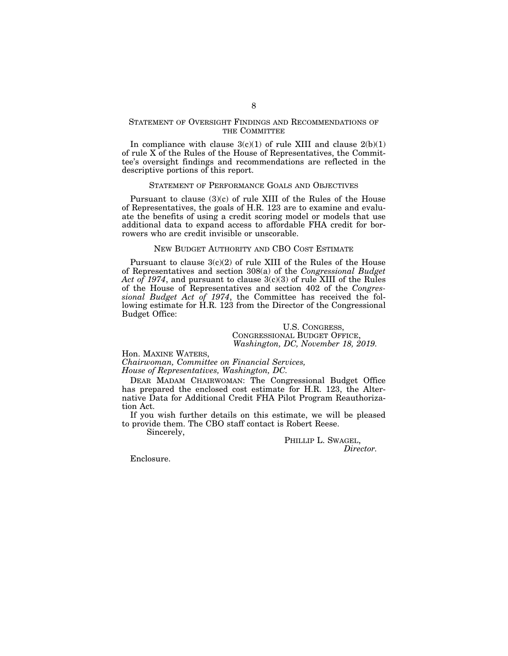## STATEMENT OF OVERSIGHT FINDINGS AND RECOMMENDATIONS OF THE COMMITTEE

In compliance with clause  $3(c)(1)$  of rule XIII and clause  $2(b)(1)$ of rule X of the Rules of the House of Representatives, the Committee's oversight findings and recommendations are reflected in the descriptive portions of this report.

### STATEMENT OF PERFORMANCE GOALS AND OBJECTIVES

Pursuant to clause (3)(c) of rule XIII of the Rules of the House of Representatives, the goals of H.R. 123 are to examine and evaluate the benefits of using a credit scoring model or models that use additional data to expand access to affordable FHA credit for borrowers who are credit invisible or unscorable.

# NEW BUDGET AUTHORITY AND CBO COST ESTIMATE

Pursuant to clause  $3(c)(2)$  of rule XIII of the Rules of the House of Representatives and section 308(a) of the *Congressional Budget Act of 1974*, and pursuant to clause 3(c)(3) of rule XIII of the Rules of the House of Representatives and section 402 of the *Congressional Budget Act of 1974*, the Committee has received the following estimate for H.R. 123 from the Director of the Congressional Budget Office:

> U.S. CONGRESS, CONGRESSIONAL BUDGET OFFICE, *Washington, DC, November 18, 2019.*

Hon. MAXINE WATERS,

*Chairwoman, Committee on Financial Services, House of Representatives, Washington, DC.* 

DEAR MADAM CHAIRWOMAN: The Congressional Budget Office has prepared the enclosed cost estimate for H.R. 123, the Alternative Data for Additional Credit FHA Pilot Program Reauthorization Act.

If you wish further details on this estimate, we will be pleased to provide them. The CBO staff contact is Robert Reese.

Sincerely,

PHILLIP L. SWAGEL, *Director.* 

Enclosure.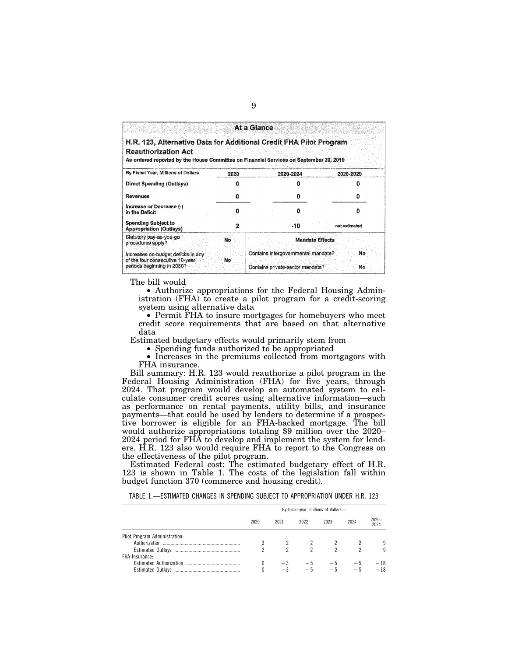|                                                                                                                                                                                            |      | At a Glance                                                             |               |
|--------------------------------------------------------------------------------------------------------------------------------------------------------------------------------------------|------|-------------------------------------------------------------------------|---------------|
| H.R. 123. Alternative Data for Additional Credit FHA Pilot Program<br><b>Reauthorization Act</b><br>As ordered reported by the House Committee on Financial Services on September 20, 2019 |      |                                                                         |               |
| By Fiscal Year, Millions of Dollars                                                                                                                                                        | 2020 | 2020-2024                                                               | 2020-2029     |
| <b>Direct Spending (Outlays)</b>                                                                                                                                                           |      |                                                                         |               |
| <b>Revenues</b>                                                                                                                                                                            | 0    | o                                                                       | п             |
| Increase or Decrease (-)<br>in the Deficit                                                                                                                                                 | n    |                                                                         |               |
| <b>Spending Subject to</b><br><b>Appropriation (Outlays)</b>                                                                                                                               |      | -10                                                                     | not estimated |
| Statutory pay-as-you-go<br>procedures apply?                                                                                                                                               | No   | <b>Mandate Effects</b>                                                  |               |
| Increases on-budget deficits in any<br>of the four consecutive 10-year<br>periods beginning in 2030?                                                                                       | No   | Contains intergovernmental mandate?<br>Contains private-sector mandate? | No.<br>No     |

The bill would

• Authorize appropriations for the Federal Housing Administration (FHA) to create a pilot program for a credit-scoring system using alternative data

• Permit FHA to insure mortgages for homebuyers who meet credit score requirements that are based on that alternative data

Estimated budgetary effects would primarily stem from

• Spending funds authorized to be appropriated

• Increases in the premiums collected from mortgagors with FHA insurance.

Bill summary: H.R. 123 would reauthorize a pilot program in the Federal Housing Administration (FHA) for five years, through 2024. That program would develop an automated system to calculate consumer credit scores using alternative information—such as performance on rental payments, utility bills, and insurance payments—that could be used by lenders to determine if a prospective borrower is eligible for an FHA-backed mortgage. The bill would authorize appropriations totaling \$9 million over the 2020– 2024 period for FHA to develop and implement the system for lenders. H.R. 123 also would require FHA to report to the Congress on the effectiveness of the pilot program.

Estimated Federal cost: The estimated budgetary effect of H.R. 123 is shown in Table 1. The costs of the legislation fall within budget function 370 (commerce and housing credit).

TABLE 1.—ESTIMATED CHANGES IN SPENDING SUBJECT TO APPROPRIATION UNDER H.R. 123

|                               | By fiscal year, millions of dollars- |      |      |      |      |                  |
|-------------------------------|--------------------------------------|------|------|------|------|------------------|
|                               | 2020                                 | 2021 | 2022 | 2023 | 2024 | $2020 -$<br>2024 |
| Pilot Program Administration: |                                      |      |      |      |      |                  |
|                               |                                      |      |      |      |      | 9                |
|                               |                                      |      | 2    | 2    |      | 9                |
| FHA Insurance:                |                                      |      |      |      |      |                  |
|                               |                                      |      |      |      |      | - 18             |
|                               |                                      |      |      |      |      | - 18             |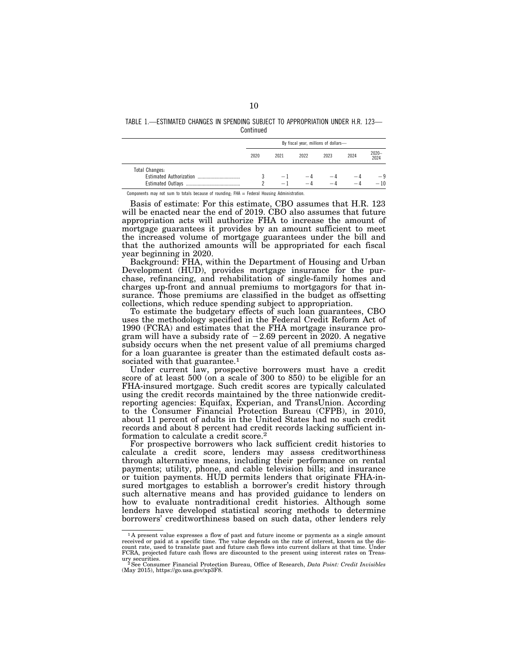TABLE 1.—ESTIMATED CHANGES IN SPENDING SUBJECT TO APPROPRIATION UNDER H.R. 123— **Continued** 

|                                | By fiscal year, millions of dollars- |                          |      |             |           |               |
|--------------------------------|--------------------------------------|--------------------------|------|-------------|-----------|---------------|
|                                | 2020                                 | 2021                     | 2022 | 2023        | 2024      | 2020-<br>2024 |
| <b>Total Changes:</b>          |                                      |                          |      |             |           |               |
| <b>Estimated Authorization</b> |                                      | $\overline{\phantom{0}}$ | $-4$ | — 4<br>$-4$ | $-\theta$ |               |

Components may not sum to totals because of rounding: FHA = Federal Housing Administration

Basis of estimate: For this estimate, CBO assumes that H.R. 123 will be enacted near the end of 2019. CBO also assumes that future appropriation acts will authorize FHA to increase the amount of mortgage guarantees it provides by an amount sufficient to meet the increased volume of mortgage guarantees under the bill and that the authorized amounts will be appropriated for each fiscal year beginning in 2020.

Background: FHA, within the Department of Housing and Urban Development (HUD), provides mortgage insurance for the purchase, refinancing, and rehabilitation of single-family homes and charges up-front and annual premiums to mortgagors for that insurance. Those premiums are classified in the budget as offsetting collections, which reduce spending subject to appropriation.

To estimate the budgetary effects of such loan guarantees, CBO uses the methodology specified in the Federal Credit Reform Act of 1990 (FCRA) and estimates that the FHA mortgage insurance program will have a subsidy rate of  $-2.69$  percent in 2020. A negative subsidy occurs when the net present value of all premiums charged for a loan guarantee is greater than the estimated default costs associated with that guarantee.<sup>1</sup>

Under current law, prospective borrowers must have a credit score of at least 500 (on a scale of 300 to 850) to be eligible for an FHA-insured mortgage. Such credit scores are typically calculated using the credit records maintained by the three nationwide creditreporting agencies: Equifax, Experian, and TransUnion. According to the Consumer Financial Protection Bureau (CFPB), in 2010, about 11 percent of adults in the United States had no such credit records and about 8 percent had credit records lacking sufficient information to calculate a credit score.2

For prospective borrowers who lack sufficient credit histories to calculate a credit score, lenders may assess creditworthiness through alternative means, including their performance on rental payments; utility, phone, and cable television bills; and insurance or tuition payments. HUD permits lenders that originate FHA-insured mortgages to establish a borrower's credit history through such alternative means and has provided guidance to lenders on how to evaluate nontraditional credit histories. Although some lenders have developed statistical scoring methods to determine borrowers' creditworthiness based on such data, other lenders rely

<sup>1</sup> A present value expresses a flow of past and future income or payments as a single amount received or paid at a specific time. The value depends on the rate of interest, known as the dis-<br>count rate, used to translate past and future cash flows into current dollars at that time. Under<br>FCRA, projected future cas ury securities. 2See Consumer Financial Protection Bureau, Office of Research, *Data Point: Credit Invisibles* 

<sup>(</sup>May 2015), https://go.usa.gov/xp3F8.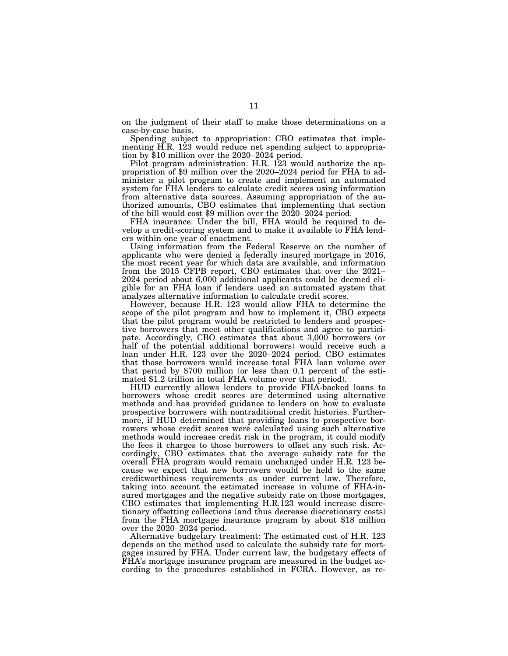on the judgment of their staff to make those determinations on a case-by-case basis.

Spending subject to appropriation: CBO estimates that implementing H.R. 123 would reduce net spending subject to appropriation by \$10 million over the 2020–2024 period.<br>Pilot program administration: H.R. 123 would authorize the ap-

propriation of \$9 million over the 2020–2024 period for FHA to administer a pilot program to create and implement an automated system for FHA lenders to calculate credit scores using information from alternative data sources. Assuming appropriation of the authorized amounts, CBO estimates that implementing that section of the bill would cost \$9 million over the 2020–2024 period.

FHA insurance: Under the bill, FHA would be required to develop a credit-scoring system and to make it available to FHA lenders within one year of enactment.

Using information from the Federal Reserve on the number of applicants who were denied a federally insured mortgage in 2016, the most recent year for which data are available, and information from the 2015 CFPB report, CBO estimates that over the 2021– 2024 period about 6,000 additional applicants could be deemed eligible for an FHA loan if lenders used an automated system that analyzes alternative information to calculate credit scores.

However, because H.R. 123 would allow FHA to determine the scope of the pilot program and how to implement it, CBO expects that the pilot program would be restricted to lenders and prospective borrowers that meet other qualifications and agree to participate. Accordingly, CBO estimates that about 3,000 borrowers (or half of the potential additional borrowers) would receive such a loan under H.R. 123 over the 2020–2024 period. CBO estimates that those borrowers would increase total FHA loan volume over that period by \$700 million (or less than 0.1 percent of the estimated \$1.2 trillion in total FHA volume over that period).

HUD currently allows lenders to provide FHA-backed loans to borrowers whose credit scores are determined using alternative methods and has provided guidance to lenders on how to evaluate prospective borrowers with nontraditional credit histories. Furthermore, if HUD determined that providing loans to prospective borrowers whose credit scores were calculated using such alternative methods would increase credit risk in the program, it could modify the fees it charges to those borrowers to offset any such risk. Accordingly, CBO estimates that the average subsidy rate for the overall FHA program would remain unchanged under H.R. 123 because we expect that new borrowers would be held to the same creditworthiness requirements as under current law. Therefore, taking into account the estimated increase in volume of FHA-insured mortgages and the negative subsidy rate on those mortgages, CBO estimates that implementing H.R.123 would increase discretionary offsetting collections (and thus decrease discretionary costs) from the FHA mortgage insurance program by about \$18 million over the 2020–2024 period.

Alternative budgetary treatment: The estimated cost of H.R. 123 depends on the method used to calculate the subsidy rate for mortgages insured by FHA. Under current law, the budgetary effects of FHA's mortgage insurance program are measured in the budget according to the procedures established in FCRA. However, as re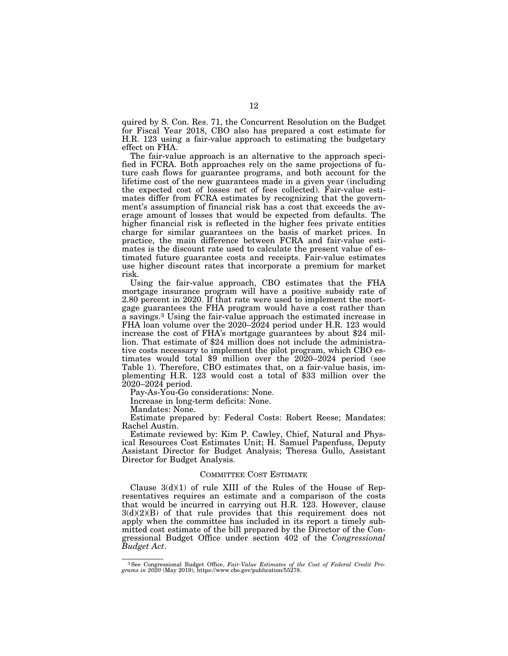quired by S. Con. Res. 71, the Concurrent Resolution on the Budget for Fiscal Year 2018, CBO also has prepared a cost estimate for H.R. 123 using a fair-value approach to estimating the budgetary effect on FHA.

The fair-value approach is an alternative to the approach specified in FCRA. Both approaches rely on the same projections of future cash flows for guarantee programs, and both account for the lifetime cost of the new guarantees made in a given year (including the expected cost of losses net of fees collected). Fair-value estimates differ from FCRA estimates by recognizing that the government's assumption of financial risk has a cost that exceeds the average amount of losses that would be expected from defaults. The higher financial risk is reflected in the higher fees private entities charge for similar guarantees on the basis of market prices. In practice, the main difference between FCRA and fair-value estimates is the discount rate used to calculate the present value of estimated future guarantee costs and receipts. Fair-value estimates use higher discount rates that incorporate a premium for market risk.

Using the fair-value approach, CBO estimates that the FHA mortgage insurance program will have a positive subsidy rate of 2.80 percent in 2020. If that rate were used to implement the mortgage guarantees the FHA program would have a cost rather than a savings.3 Using the fair-value approach the estimated increase in FHA loan volume over the 2020–2024 period under H.R. 123 would increase the cost of FHA's mortgage guarantees by about \$24 million. That estimate of \$24 million does not include the administrative costs necessary to implement the pilot program, which CBO estimates would total \$9 million over the 2020–2024 period (see Table 1). Therefore, CBO estimates that, on a fair-value basis, implementing H.R. 123 would cost a total of \$33 million over the 2020–2024 period.

Pay-As-You-Go considerations: None.

Increase in long-term deficits: None. Mandates: None.

Estimate prepared by: Federal Costs: Robert Reese; Mandates: Rachel Austin.

Estimate reviewed by: Kim P. Cawley, Chief, Natural and Physical Resources Cost Estimates Unit; H. Samuel Papenfuss, Deputy Assistant Director for Budget Analysis; Theresa Gullo, Assistant Director for Budget Analysis.

### COMMITTEE COST ESTIMATE

Clause  $3(d)(1)$  of rule XIII of the Rules of the House of Representatives requires an estimate and a comparison of the costs that would be incurred in carrying out H.R. 123. However, clause  $3(d)(2)(B)$  of that rule provides that this requirement does not apply when the committee has included in its report a timely submitted cost estimate of the bill prepared by the Director of the Congressional Budget Office under section 402 of the *Congressional Budget Act*.

<sup>3</sup>See Congressional Budget Office, *Fair-Value Estimates of the Cost of Federal Credit Pro-grams in 2020* (May 2019), https://www.cbo.gov/publication/55278.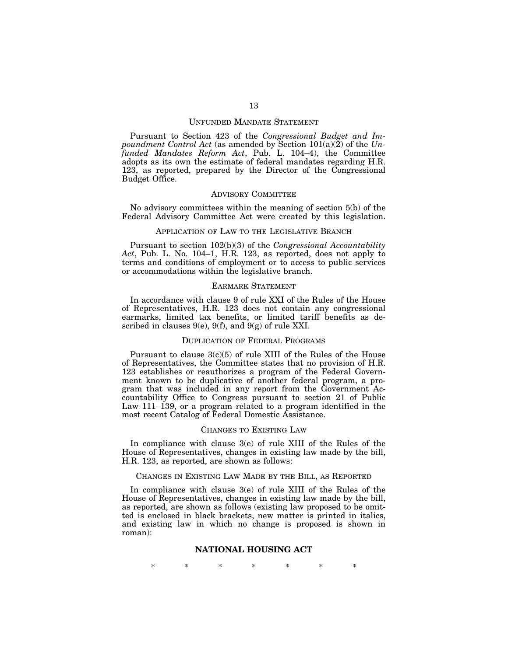#### UNFUNDED MANDATE STATEMENT

Pursuant to Section 423 of the *Congressional Budget and Impoundment Control Act* (as amended by Section 101(a)(2) of the *Unfunded Mandates Reform Act*, Pub. L. 104–4), the Committee adopts as its own the estimate of federal mandates regarding H.R. 123, as reported, prepared by the Director of the Congressional Budget Office.

#### ADVISORY COMMITTEE

No advisory committees within the meaning of section 5(b) of the Federal Advisory Committee Act were created by this legislation.

### APPLICATION OF LAW TO THE LEGISLATIVE BRANCH

Pursuant to section 102(b)(3) of the *Congressional Accountability Act*, Pub. L. No. 104–1, H.R. 123, as reported, does not apply to terms and conditions of employment or to access to public services or accommodations within the legislative branch.

## EARMARK STATEMENT

In accordance with clause 9 of rule XXI of the Rules of the House of Representatives, H.R. 123 does not contain any congressional earmarks, limited tax benefits, or limited tariff benefits as described in clauses  $9(e)$ ,  $9(f)$ , and  $9(g)$  of rule XXI.

#### DUPLICATION OF FEDERAL PROGRAMS

Pursuant to clause 3(c)(5) of rule XIII of the Rules of the House of Representatives, the Committee states that no provision of H.R. 123 establishes or reauthorizes a program of the Federal Government known to be duplicative of another federal program, a program that was included in any report from the Government Accountability Office to Congress pursuant to section 21 of Public Law 111–139, or a program related to a program identified in the most recent Catalog of Federal Domestic Assistance.

#### CHANGES TO EXISTING LAW

In compliance with clause 3(e) of rule XIII of the Rules of the House of Representatives, changes in existing law made by the bill, H.R. 123, as reported, are shown as follows:

#### CHANGES IN EXISTING LAW MADE BY THE BILL, AS REPORTED

In compliance with clause 3(e) of rule XIII of the Rules of the House of Representatives, changes in existing law made by the bill, as reported, are shown as follows (existing law proposed to be omitted is enclosed in black brackets, new matter is printed in italics, and existing law in which no change is proposed is shown in roman):

## **NATIONAL HOUSING ACT**

\* \* \* \* \* \* \*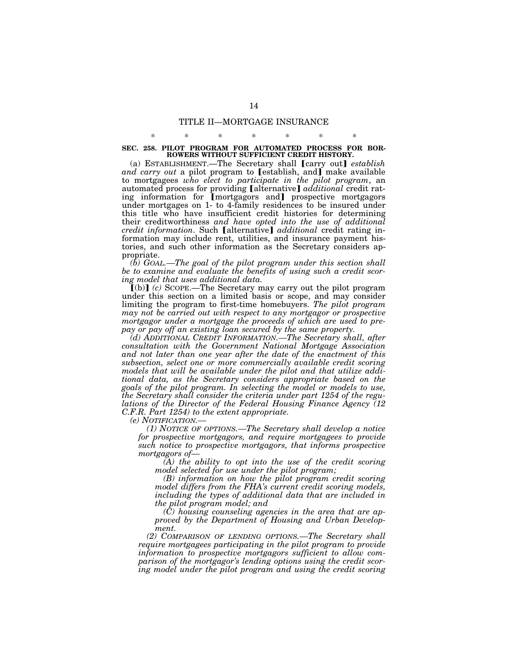# TITLE II—MORTGAGE INSURANCE

# \* \* \* \* \* \* \* **SEC. 258. PILOT PROGRAM FOR AUTOMATED PROCESS FOR BOR-ROWERS WITHOUT SUFFICIENT CREDIT HISTORY.**

(a) ESTABLISHMENT.—The Secretary shall **[carry out]** *establish* and carry out a pilot program to [establish, and] make available to mortgagees *who elect to participate in the pilot program*, an automated process for providing [alternative] *additional* credit rating information for [mortgagors and] prospective mortgagors under mortgages on 1- to 4-family residences to be insured under this title who have insufficient credit histories for determining their creditworthiness *and have opted into the use of additional credit information*. Such [alternative] *additional* credit rating information may include rent, utilities, and insurance payment histories, and such other information as the Secretary considers appropriate.

*(b) GOAL.—The goal of the pilot program under this section shall be to examine and evaluate the benefits of using such a credit scoring model that uses additional data.* 

 $\tilde{I}$ (b) $\tilde{I}$  (c) SCOPE.—The Secretary may carry out the pilot program under this section on a limited basis or scope, and may consider limiting the program to first-time homebuyers. *The pilot program may not be carried out with respect to any mortgagor or prospective mortgagor under a mortgage the proceeds of which are used to prepay or pay off an existing loan secured by the same property.* 

*(d) ADDITIONAL CREDIT INFORMATION.—The Secretary shall, after consultation with the Government National Mortgage Association and not later than one year after the date of the enactment of this subsection, select one or more commercially available credit scoring models that will be available under the pilot and that utilize additional data, as the Secretary considers appropriate based on the goals of the pilot program. In selecting the model or models to use, the Secretary shall consider the criteria under part 1254 of the regulations of the Director of the Federal Housing Finance Agency (12 C.F.R. Part 1254) to the extent appropriate.* 

*(e) NOTIFICATION.— (1) NOTICE OF OPTIONS.—The Secretary shall develop a notice for prospective mortgagors, and require mortgagees to provide such notice to prospective mortgagors, that informs prospective mortgagors of—* 

*(A) the ability to opt into the use of the credit scoring model selected for use under the pilot program;* 

*(B) information on how the pilot program credit scoring model differs from the FHA's current credit scoring models, including the types of additional data that are included in the pilot program model; and* 

*(C) housing counseling agencies in the area that are approved by the Department of Housing and Urban Development.* 

*(2) COMPARISON OF LENDING OPTIONS.—The Secretary shall require mortgagees participating in the pilot program to provide information to prospective mortgagors sufficient to allow comparison of the mortgagor's lending options using the credit scor*ing model under the pilot program and using the credit scoring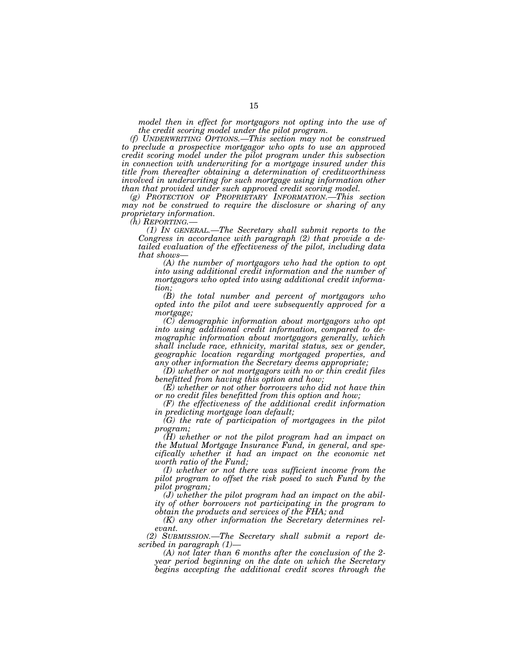*model then in effect for mortgagors not opting into the use of the credit scoring model under the pilot program.* 

*(f) UNDERWRITING OPTIONS.—This section may not be construed to preclude a prospective mortgagor who opts to use an approved credit scoring model under the pilot program under this subsection in connection with underwriting for a mortgage insured under this title from thereafter obtaining a determination of creditworthiness involved in underwriting for such mortgage using information other than that provided under such approved credit scoring model.* 

*(g) PROTECTION OF PROPRIETARY INFORMATION.—This section may not be construed to require the disclosure or sharing of any proprietary information.* 

*(h) REPORTING.—* 

*(1) IN GENERAL.—The Secretary shall submit reports to the Congress in accordance with paragraph (2) that provide a detailed evaluation of the effectiveness of the pilot, including data that shows—* 

*(A) the number of mortgagors who had the option to opt into using additional credit information and the number of mortgagors who opted into using additional credit information;* 

*(B) the total number and percent of mortgagors who opted into the pilot and were subsequently approved for a mortgage;* 

*(C) demographic information about mortgagors who opt into using additional credit information, compared to demographic information about mortgagors generally, which shall include race, ethnicity, marital status, sex or gender, geographic location regarding mortgaged properties, and any other information the Secretary deems appropriate;* 

*(D) whether or not mortgagors with no or thin credit files benefitted from having this option and how;* 

*(E) whether or not other borrowers who did not have thin or no credit files benefitted from this option and how;* 

*(F) the effectiveness of the additional credit information in predicting mortgage loan default;* 

*(G) the rate of participation of mortgagees in the pilot program;* 

*(H) whether or not the pilot program had an impact on the Mutual Mortgage Insurance Fund, in general, and specifically whether it had an impact on the economic net worth ratio of the Fund;* 

*(I) whether or not there was sufficient income from the pilot program to offset the risk posed to such Fund by the pilot program;* 

*(J) whether the pilot program had an impact on the ability of other borrowers not participating in the program to obtain the products and services of the FHA; and* 

*(K) any other information the Secretary determines relevant.* 

*(2) SUBMISSION.—The Secretary shall submit a report described in paragraph (1)—* 

*(A) not later than 6 months after the conclusion of the 2 year period beginning on the date on which the Secretary begins accepting the additional credit scores through the*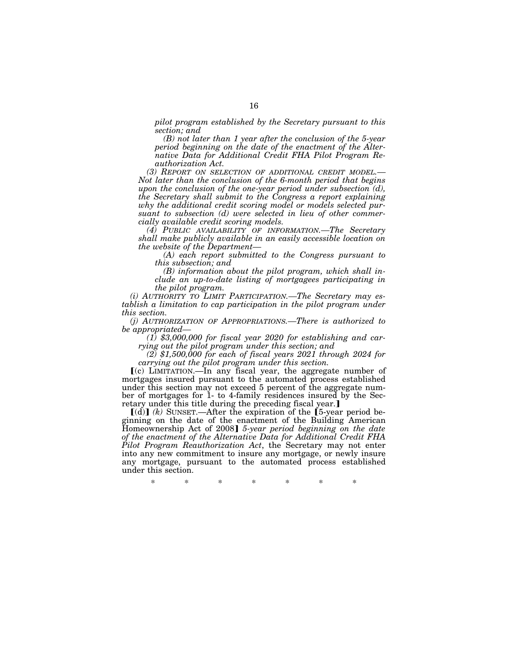*pilot program established by the Secretary pursuant to this section; and* 

*(B) not later than 1 year after the conclusion of the 5-year period beginning on the date of the enactment of the Alternative Data for Additional Credit FHA Pilot Program Reauthorization Act.*<br> **(3) REPORT ON SELECTION OF ADDITIONAL CREDIT MODEL.—** 

*Not later than the conclusion of the 6-month period that begins upon the conclusion of the one-year period under subsection (d), the Secretary shall submit to the Congress a report explaining why the additional credit scoring model or models selected pursuant to subsection (d) were selected in lieu of other commercially available credit scoring models.* 

*(4) PUBLIC AVAILABILITY OF INFORMATION.—The Secretary shall make publicly available in an easily accessible location on the website of the Department—* 

*(A) each report submitted to the Congress pursuant to this subsection; and* 

*(B) information about the pilot program, which shall include an up-to-date listing of mortgagees participating in the pilot program.* 

*(i) AUTHORITY TO LIMIT PARTICIPATION.—The Secretary may establish a limitation to cap participation in the pilot program under this section.* 

*(j) AUTHORIZATION OF APPROPRIATIONS.—There is authorized to* 

*be appropriated— (1) \$3,000,000 for fiscal year 2020 for establishing and car-*

 $r_1(z)$  \$1,500,000 for each of fiscal years 2021 through 2024 for

*carrying out the pilot program under this section.*  $[(c)$  LIMITATION.—In any fiscal year, the aggregate number of mortgages insured pursuant to the automated process established under this section may not exceed 5 percent of the aggregate number of mortgages for 1- to 4-family residences insured by the Secretary under this title during the preceding fiscal year.

 $\lbrack d \rbrack$  *(k)* SUNSET.—After the expiration of the  $\lbrack 5$ -year period beginning on the date of the enactment of the Building American Homeownership Act of 2008] 5-year period beginning on the date *of the enactment of the Alternative Data for Additional Credit FHA Pilot Program Reauthorization Act*, the Secretary may not enter into any new commitment to insure any mortgage, or newly insure any mortgage, pursuant to the automated process established under this section.

\* \* \* \* \* \* \*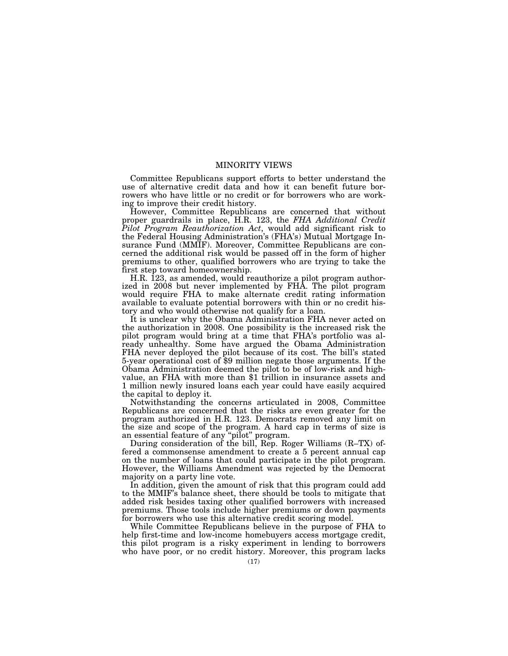# MINORITY VIEWS

Committee Republicans support efforts to better understand the use of alternative credit data and how it can benefit future borrowers who have little or no credit or for borrowers who are working to improve their credit history.

However, Committee Republicans are concerned that without proper guardrails in place, H.R. 123, the *FHA Additional Credit Pilot Program Reauthorization Act*, would add significant risk to the Federal Housing Administration's (FHA's) Mutual Mortgage Insurance Fund (MMIF). Moreover, Committee Republicans are concerned the additional risk would be passed off in the form of higher premiums to other, qualified borrowers who are trying to take the first step toward homeownership.

H.R. 123, as amended, would reauthorize a pilot program authorized in 2008 but never implemented by FHA. The pilot program would require FHA to make alternate credit rating information available to evaluate potential borrowers with thin or no credit history and who would otherwise not qualify for a loan.

It is unclear why the Obama Administration FHA never acted on the authorization in 2008. One possibility is the increased risk the pilot program would bring at a time that FHA's portfolio was already unhealthy. Some have argued the Obama Administration FHA never deployed the pilot because of its cost. The bill's stated 5-year operational cost of \$9 million negate those arguments. If the Obama Administration deemed the pilot to be of low-risk and highvalue, an FHA with more than \$1 trillion in insurance assets and 1 million newly insured loans each year could have easily acquired the capital to deploy it.

Notwithstanding the concerns articulated in 2008, Committee Republicans are concerned that the risks are even greater for the program authorized in H.R. 123. Democrats removed any limit on the size and scope of the program. A hard cap in terms of size is an essential feature of any ''pilot'' program.

During consideration of the bill, Rep. Roger Williams (R–TX) offered a commonsense amendment to create a 5 percent annual cap on the number of loans that could participate in the pilot program. However, the Williams Amendment was rejected by the Democrat majority on a party line vote.

In addition, given the amount of risk that this program could add to the MMIF's balance sheet, there should be tools to mitigate that added risk besides taxing other qualified borrowers with increased premiums. Those tools include higher premiums or down payments for borrowers who use this alternative credit scoring model.

While Committee Republicans believe in the purpose of FHA to help first-time and low-income homebuyers access mortgage credit, this pilot program is a risky experiment in lending to borrowers who have poor, or no credit history. Moreover, this program lacks